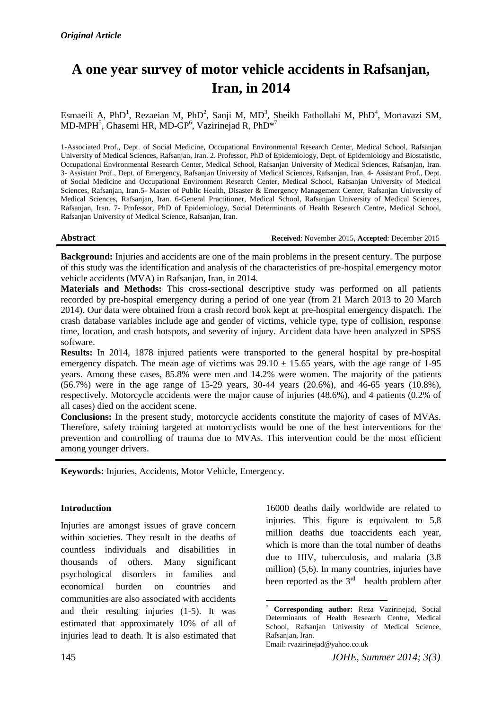# **A one year survey of motor vehicle accidents in Rafsanjan, Iran, in 2014**

Esmaeili A, PhD<sup>1</sup>, Rezaeian M, PhD<sup>2</sup>, Sanji M, MD<sup>3</sup>, Sheikh Fathollahi M, PhD<sup>4</sup>, Mortavazi SM, MD-MPH<sup>5</sup>, Ghasemi HR, MD-GP<sup>6</sup>, Vazirinejad R, PhD<sup>\*7</sup>

1-Associated Prof., Dept. of Social Medicine, Occupational Environmental Research Center, Medical School, Rafsanjan University of Medical Sciences, Rafsanjan, Iran. 2. Professor, PhD of Epidemiology, Dept. of Epidemiology and Biostatistic, Occupational Environmental Research Center, Medical School, Rafsanjan University of Medical Sciences, Rafsanjan, Iran. 3- Assistant Prof., Dept. of Emergency, Rafsanjan University of Medical Sciences, Rafsanjan, Iran. 4- Assistant Prof., Dept. of Social Medicine and Occupational Environment Research Center, Medical School, Rafsanjan University of Medical Sciences, Rafsanjan, Iran.5- Master of Public Health, Disaster & Emergency Management Center, Rafsanjan University of Medical Sciences, Rafsanjan, Iran. 6-General Practitioner, Medical School, Rafsanjan University of Medical Sciences, Rafsanjan, Iran. 7- Professor, PhD of Epidemiology, Social Determinants of Health Research Centre, Medical School, Rafsanjan University of Medical Science, Rafsanjan, Iran.

**Abstract Received**: November 2015, **Accepted**: December 2015

**Background:** Injuries and accidents are one of the main problems in the present century. The purpose of this study was the identification and analysis of the characteristics of pre-hospital emergency motor vehicle accidents (MVA) in Rafsanjan, Iran, in 2014.

**Materials and Methods:** This cross-sectional descriptive study was performed on all patients recorded by pre-hospital emergency during a period of one year (from 21 March 2013 to 20 March 2014). Our data were obtained from a crash record book kept at pre-hospital emergency dispatch. The crash database variables include age and gender of victims, vehicle type, type of collision, response time, location, and crash hotspots, and severity of injury. Accident data have been analyzed in SPSS software.

**Results:** In 2014, 1878 injured patients were transported to the general hospital by pre-hospital emergency dispatch. The mean age of victims was  $29.10 \pm 15.65$  years, with the age range of 1-95 years. Among these cases, 85.8% were men and 14.2% were women. The majority of the patients (56.7%) were in the age range of 15-29 years, 30-44 years (20.6%), and 46-65 years (10.8%), respectively. Motorcycle accidents were the major cause of injuries (48.6%), and 4 patients (0.2% of all cases) died on the accident scene.

**Conclusions:** In the present study, motorcycle accidents constitute the majority of cases of MVAs. Therefore, safety training targeted at motorcyclists would be one of the best interventions for the prevention and controlling of trauma due to MVAs. This intervention could be the most efficient among younger drivers.

**Keywords:** Injuries, Accidents, Motor Vehicle, Emergency.

## **Introduction**

Injuries are amongst issues of grave concern within societies. They result in the deaths of countless individuals and disabilities in thousands of others. Many significant psychological disorders in families and economical burden on countries and communities are also associated with accidents and their resulting injuries (1-5). It was estimated that approximately 10% of all of injuries lead to death. It is also estimated that 16000 deaths daily worldwide are related to injuries. This figure is equivalent to 5.8 million deaths due toaccidents each year, which is more than the total number of deaths due to HIV, tuberculosis, and malaria (3.8 million) (5,6). In many countries, injuries have been reported as the  $3<sup>rd</sup>$  health problem after

<sup>1</sup> \* **Corresponding author:** Reza Vazirinejad, Social Determinants of Health Research Centre, Medical School, Rafsanjan University of Medical Science, Rafsanjan, Iran. Email: rvazirinejad@yahoo.co.uk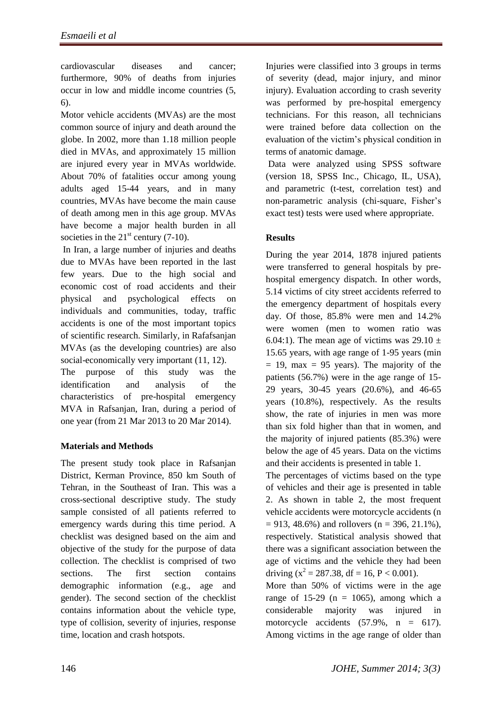cardiovascular diseases and cancer; furthermore, 90% of deaths from injuries occur in low and middle income countries (5, 6).

Motor vehicle accidents (MVAs) are the most common source of injury and death around the globe. In 2002, more than 1.18 million people died in MVAs, and approximately 15 million are injured every year in MVAs worldwide. About 70% of fatalities occur among young adults aged 15-44 years, and in many countries, MVAs have become the main cause of death among men in this age group. MVAs have become a major health burden in all societies in the  $21<sup>st</sup>$  century (7-10).

In Iran, a large number of injuries and deaths due to MVAs have been reported in the last few years. Due to the high social and economic cost of road accidents and their physical and psychological effects on individuals and communities, today, traffic accidents is one of the most important topics of scientific research. Similarly, in Rafafsanjan MVAs (as the developing countries) are also social-economically very important (11, 12).

The purpose of this study was the identification and analysis of the characteristics of pre-hospital emergency MVA in Rafsanjan, Iran, during a period of one year (from 21 Mar 2013 to 20 Mar 2014).

# **Materials and Methods**

The present study took place in Rafsanjan District, Kerman Province, 850 km South of Tehran, in the Southeast of Iran. This was a cross-sectional descriptive study. The study sample consisted of all patients referred to emergency wards during this time period. A checklist was designed based on the aim and objective of the study for the purpose of data collection. The checklist is comprised of two sections. The first section contains demographic information (e.g., age and gender). The second section of the checklist contains information about the vehicle type, type of collision, severity of injuries, response time, location and crash hotspots.

Injuries were classified into 3 groups in terms of severity (dead, major injury, and minor injury). Evaluation according to crash severity was performed by pre-hospital emergency technicians. For this reason, all technicians were trained before data collection on the evaluation of the victim's physical condition in terms of anatomic damage.

Data were analyzed using SPSS software (version 18, SPSS Inc., Chicago, IL, USA), and parametric (t-test, correlation test) and non-parametric analysis (chi-square, Fisher's exact test) tests were used where appropriate.

# **Results**

During the year 2014, 1878 injured patients were transferred to general hospitals by prehospital emergency dispatch. In other words, 5.14 victims of city street accidents referred to the emergency department of hospitals every day. Of those, 85.8% were men and 14.2% were women (men to women ratio was 6.04:1). The mean age of victims was  $29.10 \pm$ 15.65 years, with age range of 1-95 years (min  $= 19$ , max  $= 95$  years). The majority of the patients (56.7%) were in the age range of 15- 29 years, 30-45 years (20.6%), and 46-65 years (10.8%), respectively. As the results show, the rate of injuries in men was more than six fold higher than that in women, and the majority of injured patients (85.3%) were below the age of 45 years. Data on the victims and their accidents is presented in table 1.

The percentages of victims based on the type of vehicles and their age is presented in table 2. As shown in table 2, the most frequent vehicle accidents were motorcycle accidents (n  $= 913, 48.6\%$ ) and rollovers (n = 396, 21.1%), respectively. Statistical analysis showed that there was a significant association between the age of victims and the vehicle they had been driving ( $x^2 = 287.38$ , df = 16, P < 0.001).

More than 50% of victims were in the age range of 15-29 ( $n = 1065$ ), among which a considerable majority was injured in motorcycle accidents  $(57.9\%$ ,  $n = 617$ ). Among victims in the age range of older than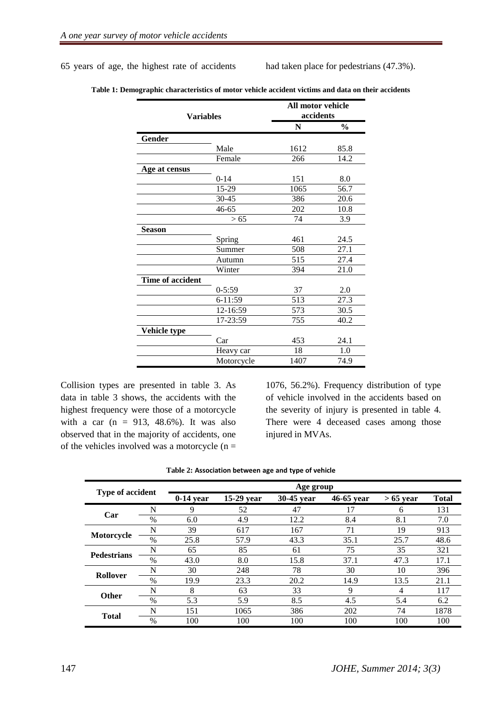65 years of age, the highest rate of accidents had taken place for pedestrians (47.3%).

| <b>Variables</b> |            | All motor vehicle<br>accidents |               |  |
|------------------|------------|--------------------------------|---------------|--|
|                  |            | $\mathbf N$                    | $\frac{0}{0}$ |  |
| Gender           |            |                                |               |  |
|                  | Male       | 1612                           | 85.8          |  |
|                  | Female     | 266                            | 14.2          |  |
| Age at census    |            |                                |               |  |
|                  | $0 - 14$   | 151                            | 8.0           |  |
|                  | 15-29      | 1065                           | 56.7          |  |
|                  | $30 - 45$  | 386                            | 20.6          |  |
|                  | 46-65      | 202                            | 10.8          |  |
|                  | > 65       | 74                             | 3.9           |  |
| <b>Season</b>    |            |                                |               |  |
|                  | Spring     | 461                            | 24.5          |  |
|                  | Summer     | 508                            | 27.1          |  |
|                  | Autumn     | 515                            | 27.4          |  |
|                  | Winter     | 394                            | 21.0          |  |
| Time of accident |            |                                |               |  |
|                  | $0 - 5:59$ | 37                             | 2.0           |  |
|                  | 6-11:59    | 513                            | 27.3          |  |
|                  | 12-16:59   | 573                            | 30.5          |  |
|                  | 17-23:59   | 755                            | 40.2          |  |
| Vehicle type     |            |                                |               |  |
|                  | Car        | 453                            | 24.1          |  |
|                  | Heavy car  | 18                             | 1.0           |  |
|                  | Motorcycle | 1407                           | 74.9          |  |

**Table 1: Demographic characteristics of motor vehicle accident victims and data on their accidents**

Collision types are presented in table 3. As data in table 3 shows, the accidents with the highest frequency were those of a motorcycle with a car  $(n = 913, 48.6\%)$ . It was also observed that in the majority of accidents, one of the vehicles involved was a motorcycle  $(n =$ 

1076, 56.2%). Frequency distribution of type of vehicle involved in the accidents based on the severity of injury is presented in table 4. There were 4 deceased cases among those injured in MVAs.

| <b>Type of accident</b> |               | Age group   |            |            |            |             |              |
|-------------------------|---------------|-------------|------------|------------|------------|-------------|--------------|
|                         |               | $0-14$ year | 15-29 year | 30-45 year | 46-65 year | $> 65$ year | <b>Total</b> |
| Car                     | N             | 9           | 52         | 47         | 17         | 6           | 131          |
|                         | $\frac{0}{0}$ | 6.0         | 4.9        | 12.2       | 8.4        | 8.1         | 7.0          |
| Motorcycle              | N             | 39          | 617        | 167        | 71         | 19          | 913          |
|                         | $\frac{0}{0}$ | 25.8        | 57.9       | 43.3       | 35.1       | 25.7        | 48.6         |
| <b>Pedestrians</b>      | N             | 65          | 85         | 61         | 75         | 35          | 321          |
|                         | $\frac{0}{0}$ | 43.0        | 8.0        | 15.8       | 37.1       | 47.3        | 17.1         |
| <b>Rollover</b>         | N             | 30          | 248        | 78         | 30         | 10          | 396          |
|                         | $\frac{0}{0}$ | 19.9        | 23.3       | 20.2       | 14.9       | 13.5        | 21.1         |
| <b>Other</b>            | N             | 8           | 63         | 33         | 9          | 4           | 117          |
|                         | $\frac{0}{0}$ | 5.3         | 5.9        | 8.5        | 4.5        | 5.4         | 6.2          |
| <b>Total</b>            | N             | 151         | 1065       | 386        | 202        | 74          | 1878         |
|                         | $\%$          | 100         | 100        | 100        | 100        | 100         | 100          |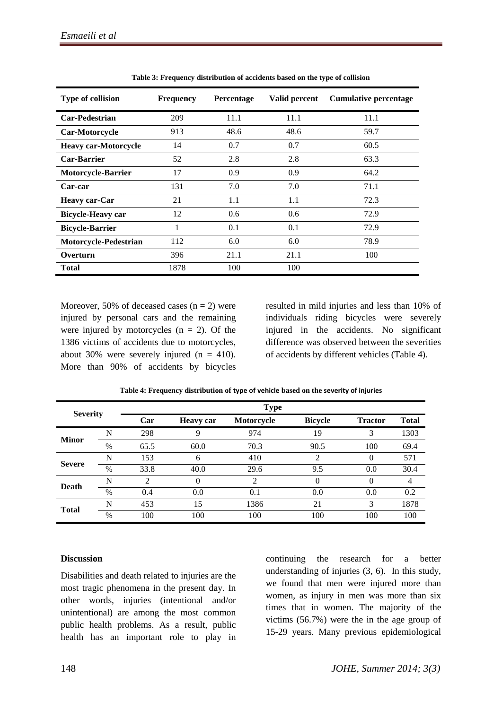| <b>Type of collision</b>    | <b>Frequency</b> | <b>Percentage</b> | Valid percent | <b>Cumulative percentage</b> |
|-----------------------------|------------------|-------------------|---------------|------------------------------|
| <b>Car-Pedestrian</b>       | 209              | 11.1              | 11.1          | 11.1                         |
| Car-Motorcycle              | 913              | 48.6              | 48.6          | 59.7                         |
| <b>Heavy car-Motorcycle</b> | 14               | 0.7               | 0.7           | 60.5                         |
| <b>Car-Barrier</b>          | 52               | 2.8               | 2.8           | 63.3                         |
| <b>Motorcycle-Barrier</b>   | 17               | 0.9               | 0.9           | 64.2                         |
| Car-car                     | 131              | 7.0               | 7.0           | 71.1                         |
| <b>Heavy car-Car</b>        | 21               | 1.1               | 1.1           | 72.3                         |
| <b>Bicycle-Heavy car</b>    | 12               | 0.6               | 0.6           | 72.9                         |
| <b>Bicycle-Barrier</b>      | 1                | 0.1               | 0.1           | 72.9                         |
| Motorcycle-Pedestrian       | 112              | 6.0               | 6.0           | 78.9                         |
| Overturn                    | 396              | 21.1              | 21.1          | 100                          |
| <b>Total</b>                | 1878             | 100               | 100           |                              |

**Table 3: Frequency distribution of accidents based on the type of collision** 

Moreover, 50% of deceased cases  $(n = 2)$  were injured by personal cars and the remaining were injured by motorcycles  $(n = 2)$ . Of the 1386 victims of accidents due to motorcycles, about 30% were severely injured  $(n = 410)$ . More than 90% of accidents by bicycles

resulted in mild injuries and less than 10% of individuals riding bicycles were severely injured in the accidents. No significant difference was observed between the severities of accidents by different vehicles (Table 4).

| <b>Severity</b> |      | <b>Type</b> |                  |            |                |                |              |  |  |
|-----------------|------|-------------|------------------|------------|----------------|----------------|--------------|--|--|
|                 |      | Car         | <b>Heavy car</b> | Motorcycle | <b>Bicycle</b> | <b>Tractor</b> | <b>Total</b> |  |  |
| <b>Minor</b>    | N    | 298         | 9                | 974        | 19             | 3              | 1303         |  |  |
|                 | %    | 65.5        | 60.0             | 70.3       | 90.5           | 100            | 69.4         |  |  |
| <b>Severe</b>   | N    | 153         | 6                | 410        | 2              | $\Omega$       | 571          |  |  |
|                 | $\%$ | 33.8        | 40.0             | 29.6       | 9.5            | 0.0            | 30.4         |  |  |
| Death           | N    | 2           | $\Omega$         | 2          | 0              | $\Omega$       | 4            |  |  |
|                 | $\%$ | 0.4         | 0.0              | 0.1        | 0.0            | 0.0            | 0.2          |  |  |
| <b>Total</b>    | N    | 453         | 15               | 1386       | 21             | 3              | 1878         |  |  |
|                 | $\%$ | 100         | 100              | 100        | 100            | 100            | 100          |  |  |

**Table 4: Frequency distribution of type of vehicle based on the severity of injuries**

# **Discussion**

Disabilities and death related to injuries are the most tragic phenomena in the present day. In other words, injuries (intentional and/or unintentional) are among the most common public health problems. As a result, public health has an important role to play in continuing the research for a better understanding of injuries (3, 6). In this study, we found that men were injured more than women, as injury in men was more than six times that in women. The majority of the victims (56.7%) were the in the age group of 15-29 years. Many previous epidemiological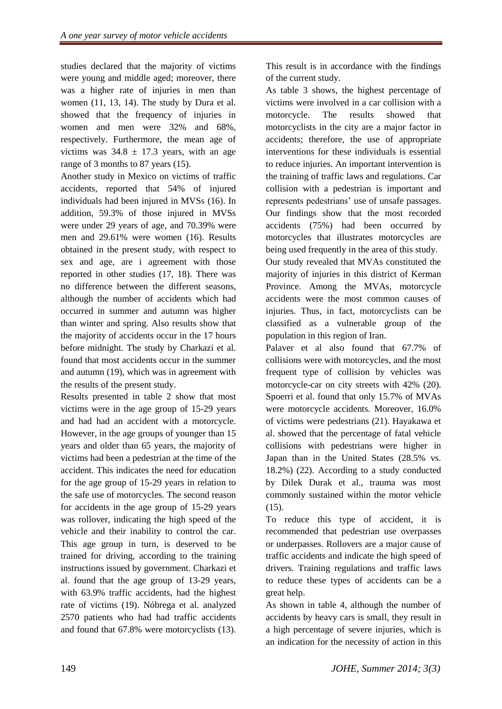studies declared that the majority of victims were young and middle aged; moreover, there was a higher rate of injuries in men than women (11, 13, 14). The study by Dura et al. showed that the frequency of injuries in women and men were 32% and 68%, respectively. Furthermore, the mean age of victims was  $34.8 \pm 17.3$  years, with an age range of 3 months to 87 years (15).

Another study in Mexico on victims of traffic accidents, reported that 54% of injured individuals had been injured in MVSs (16). In addition, 59.3% of those injured in MVSs were under 29 years of age, and 70.39% were men and 29.61% were women (16). Results obtained in the present study, with respect to sex and age, are i agreement with those reported in other studies (17, 18). There was no difference between the different seasons, although the number of accidents which had occurred in summer and autumn was higher than winter and spring. Also results show that the majority of accidents occur in the 17 hours before midnight. The study by Charkazi et al. found that most accidents occur in the summer and autumn (19), which was in agreement with the results of the present study.

Results presented in table 2 show that most victims were in the age group of 15-29 years and had had an accident with a motorcycle. However, in the age groups of younger than 15 years and older than 65 years, the majority of victims had been a pedestrian at the time of the accident. This indicates the need for education for the age group of 15-29 years in relation to the safe use of motorcycles. The second reason for accidents in the age group of 15-29 years was rollover, indicating the high speed of the vehicle and their inability to control the car. This age group in turn, is deserved to be trained for driving, according to the training instructions issued by government. Charkazi et al. found that the age group of 13-29 years, with 63.9% traffic accidents, had the highest rate of victims (19). Nóbrega et al. analyzed 2570 patients who had had traffic accidents and found that 67.8% were motorcyclists (13).

This result is in accordance with the findings of the current study.

As table 3 shows, the highest percentage of victims were involved in a car collision with a motorcycle. The results showed that motorcyclists in the city are a major factor in accidents; therefore, the use of appropriate interventions for these individuals is essential to reduce injuries. An important intervention is the training of traffic laws and regulations. Car collision with a pedestrian is important and represents pedestrians' use of unsafe passages. Our findings show that the most recorded accidents (75%) had been occurred by motorcycles that illustrates motorcycles are being used frequently in the area of this study.

Our study revealed that MVAs constituted the majority of injuries in this district of Kerman Province. Among the MVAs, motorcycle accidents were the most common causes of injuries. Thus, in fact, motorcyclists can be classified as a vulnerable group of the population in this region of Iran.

Palaver et al also found that 67.7% of collisions were with motorcycles, and the most frequent type of collision by vehicles was motorcycle-car on city streets with 42% (20). Spoerri et al. found that only 15.7% of MVAs were motorcycle accidents. Moreover, 16.0% of victims were pedestrians (21). Hayakawa et al. showed that the percentage of fatal vehicle collisions with pedestrians were higher in Japan than in the United States (28.5% vs. 18.2%) (22). According to a study conducted by Dilek Durak et al., trauma was most commonly sustained within the motor vehicle (15).

To reduce this type of accident, it is recommended that pedestrian use overpasses or underpasses. Rollovers are a major cause of traffic accidents and indicate the high speed of drivers. Training regulations and traffic laws to reduce these types of accidents can be a great help.

As shown in table 4, although the number of accidents by heavy cars is small, they result in a high percentage of severe injuries, which is an indication for the necessity of action in this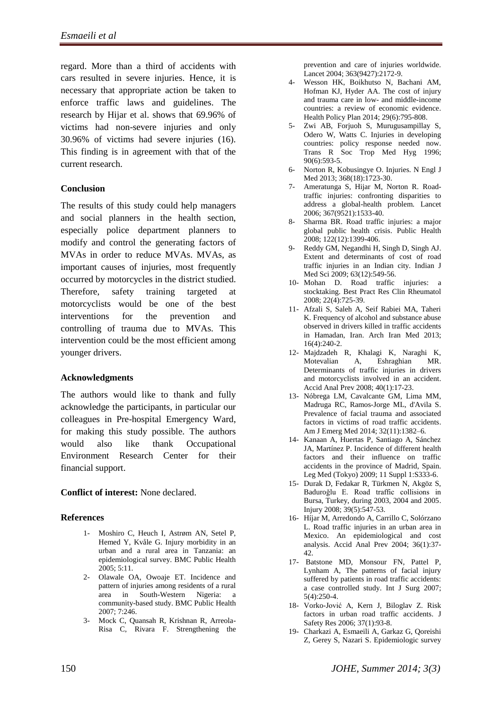regard. More than a third of accidents with cars resulted in severe injuries. Hence, it is necessary that appropriate action be taken to enforce traffic laws and guidelines. The research by Hijar et al. shows that 69.96% of victims had non-severe injuries and only 30.96% of victims had severe injuries (16). This finding is in agreement with that of the current research.

# **Conclusion**

The results of this study could help managers and social planners in the health section, especially police department planners to modify and control the generating factors of MVAs in order to reduce MVAs. MVAs, as important causes of injuries, most frequently occurred by motorcycles in the district studied. Therefore, safety training targeted at motorcyclists would be one of the best interventions for the prevention and controlling of trauma due to MVAs. This intervention could be the most efficient among younger drivers.

## **Acknowledgments**

The authors would like to thank and fully acknowledge the participants, in particular our colleagues in Pre-hospital Emergency Ward, for making this study possible. The authors would also like thank Occupational Environment Research Center for their financial support.

#### **Conflict of interest:** None declared.

## **References**

- 1- Moshiro C, Heuch I, Astrøm AN, Setel P, Hemed Y, Kvåle G. Injury morbidity in an urban and a rural area in Tanzania: an epidemiological survey. BMC Public Health 2005; 5:11.
- 2- Olawale OA, Owoaje ET. Incidence and pattern of injuries among residents of a rural area in South-Western Nigeria: a community-based study. BMC Public Health 2007; 7:246.
- 3- Mock C, Quansah R, Krishnan R, Arreola-Risa C, Rivara F. Strengthening the

prevention and care of injuries worldwide. Lancet 2004; 363(9427):2172-9.

- 4- Wesson HK, Boikhutso N, Bachani AM, Hofman KJ, Hyder AA. The cost of injury and trauma care in low- and middle-income countries: a review of economic evidence. Health Policy Plan 2014; 29(6):795-808.
- 5- Zwi AB, Forjuoh S, Murugusampillay S, Odero W, Watts C. Injuries in developing countries: policy response needed now. [Trans R Soc Trop Med Hyg](http://www.ncbi.nlm.nih.gov/pubmed/9015490) 1996; 90(6):593-5.
- 6- Norton R, Kobusingye O. Injuries. N Engl J Med 2013; 368(18):1723-30.
- 7- Ameratunga S, Hijar M, Norton R. Roadtraffic injuries: confronting disparities to address a global-health problem. Lancet 2006; 367(9521):1533-40.
- 8- Sharma BR. Road traffic injuries: a major global public health crisis. Public Health 2008; 122(12):1399-406.
- 9- Reddy GM, Negandhi H, Singh D, Singh AJ. Extent and determinants of cost of road traffic injuries in an Indian city. Indian J Med Sci 2009; 63(12):549-56.
- 10- Mohan D. Road traffic injuries: a stocktaking. Best Pract Res Clin Rheumatol 2008; 22(4):725-39.
- 11- Afzali S, Saleh A, Seif Rabiei MA, Taheri K. Frequency of alcohol and substance abuse observed in drivers killed in traffic accidents in Hamadan, Iran. Arch Iran Med 2013; 16(4):240-2.
- 12- Majdzadeh R, Khalagi K, Naraghi K, Motevalian A, Eshraghian MR. Determinants of traffic injuries in drivers and motorcyclists involved in an accident. Accid Anal Prev 2008; 40(1):17-23.
- 13- [Nóbrega LM,](http://www.ncbi.nlm.nih.gov/pubmed?term=N%C3%B3brega%20LM%5BAuthor%5D&cauthor=true&cauthor_uid=25224022) [Cavalcante GM,](http://www.ncbi.nlm.nih.gov/pubmed?term=Cavalcante%20GM%5BAuthor%5D&cauthor=true&cauthor_uid=25224022) [Lima MM,](http://www.ncbi.nlm.nih.gov/pubmed?term=Lima%20MM%5BAuthor%5D&cauthor=true&cauthor_uid=25224022) [Madruga RC,](http://www.ncbi.nlm.nih.gov/pubmed?term=Madruga%20RC%5BAuthor%5D&cauthor=true&cauthor_uid=25224022) [Ramos-Jorge ML,](http://www.ncbi.nlm.nih.gov/pubmed?term=Ramos-Jorge%20ML%5BAuthor%5D&cauthor=true&cauthor_uid=25224022) [d'Avila S.](http://www.ncbi.nlm.nih.gov/pubmed?term=d) Prevalence of facial trauma and associated factors in victims of road traffic accidents[.](http://www.sciencedirect.com/science/journal/07356757) [Am J Emerg Med](http://www.sciencedirect.com/science/journal/07356757) 2014; 32(11):1382–6.
- 14- Kanaan A, Huertas P, Santiago A, Sánchez JA, Martínez P. Incidence of different health factors and their influence on traffic accidents in the province of Madrid, Spain. Leg Med (Tokyo) 2009; 11 Suppl 1:S333-6.
- 15- Durak D, Fedakar R, Türkmen N, Akgöz S, Baduroğlu E. Road traffic collisions in Bursa, Turkey, during 2003, 2004 and 2005. Injury 2008; 39(5):547-53.
- 16- Híjar M, Arredondo A, Carrillo C, Solórzano L. Road traffic injuries in an urban area in Mexico. An epidemiological and cost analysis. Accid Anal Prev 2004; 36(1):37- 42.
- 17- Batstone MD, Monsour FN, Pattel P, Lynham A, The patterns of facial injury suffered by patients in road traffic accidents: a case controlled study. Int J Surg 2007; 5(4):250-4.
- 18- Vorko-Jović A, Kern J, Biloglav Z. Risk factors in urban road traffic accidents. J Safety Res 2006; 37(1):93-8.
- 19- Charkazi A, Esmaeili A, Garkaz G, Qoreishi Z, Gerey S, Nazari S. Epidemiologic survey